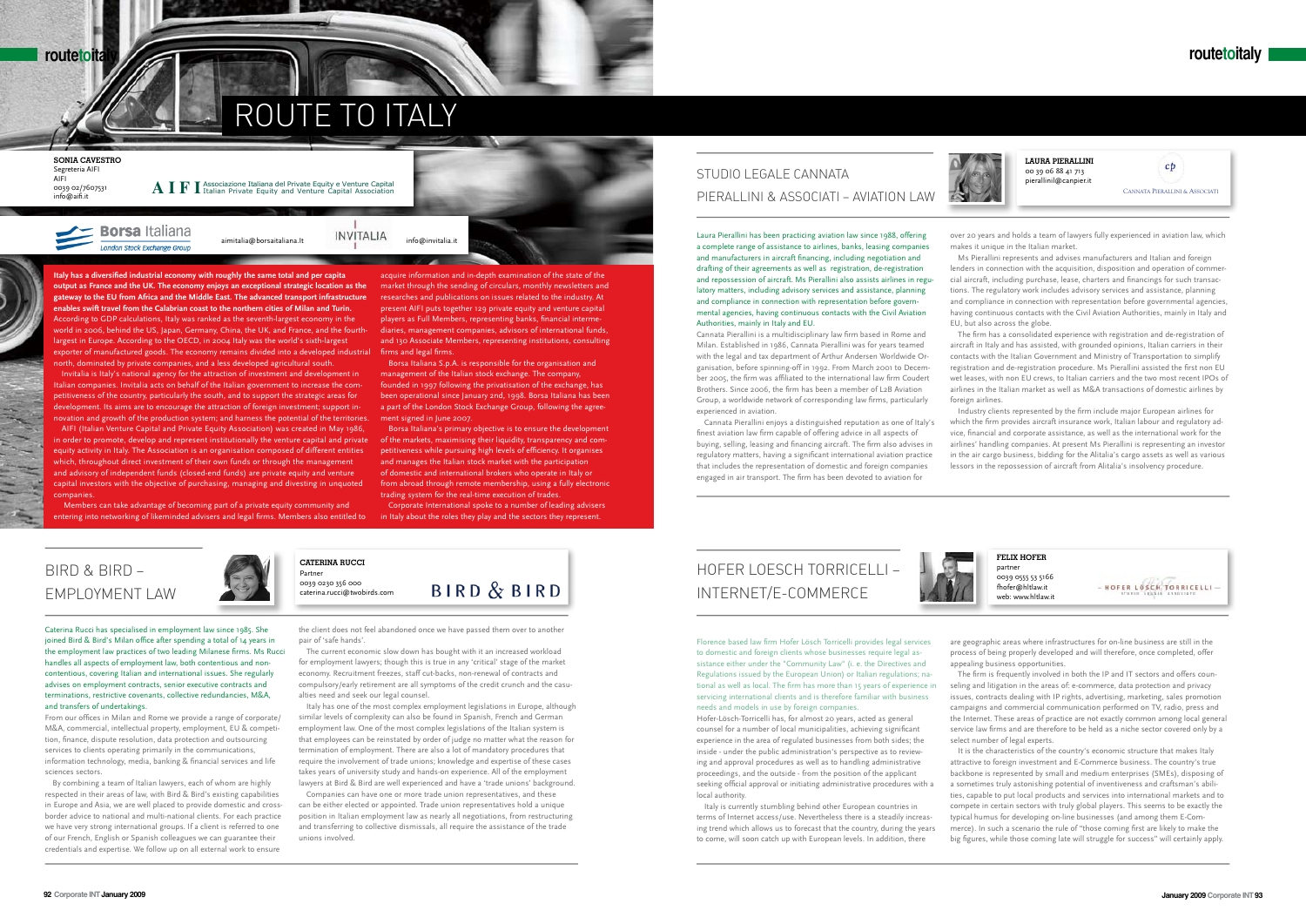# ROUTE TO ITALY



**Italy has a diversified industrial economy with roughly the same total and per capita output as France and the UK. The economy enjoys an exceptional strategic location as the gateway to the EU from Africa and the Middle East. The advanced transport infrastructure enables swift travel from the Calabrian coast to the northern cities of Milan and Turin.** According to GDP calculations, Italy was ranked as the seventh-largest economy in the world in 2006, behind the US, Japan, Germany, China, the UK, and France, and the fourthlargest in Europe. According to the OECD, in 2004 Italy was the world's sixth-largest exporter of manufactured goods. The economy remains divided into a developed industrial north, dominated by private companies, and a less developed agricultural south.

Invitalia is Italy's national agency for the attraction of investment and development in Italian companies. Invitalia acts on behalf of the Italian government to increase the competitiveness of the country, particularly the south, and to support the strategic areas for development. Its aims are to encourage the attraction of foreign investment; support innovation and growth of the production system; and harness the potential of the territories.

AIFI (Italian Venture Capital and Private Equity Association) was created in May 1986, in order to promote, develop and represent institutionally the venture capital and private equity activity in Italy. The Association is an organisation composed of different entities which, throughout direct investment of their own funds or through the management and advisory of independent funds (closed-end funds) are private equity and venture capital investors with the objective of purchasing, managing and divesting in unquoted companies.

 Members can take advantage of becoming part of a private equity community and entering into networking of likeminded advisers and legal firms. Members also entitled to

Caterina Rucci has specialised in employment law since 1985. She joined Bird & Bird's Milan office after spending a total of 14 years in the employment law practices of two leading Milanese firms. Ms Rucci handles all aspects of employment law, both contentious and noncontentious, covering Italian and international issues. She regularly advises on employment contracts, senior executive contracts and terminations, restrictive covenants, collective redundancies, M&A, and transfers of undertakings.

From our offices in Milan and Rome we provide a range of corporate/ M&A, commercial, intellectual property, employment, EU & competition, finance, dispute resolution, data protection and outsourcing services to clients operating primarily in the communications, information technology, media, banking & financial services and life sciences sectors.

By combining a team of Italian lawyers, each of whom are highly respected in their areas of law, with Bird & Bird's existing capabilities in Europe and Asia, we are well placed to provide domestic and crossborder advice to national and multi-national clients. For each practice we have very strong international groups. If a client is referred to one of our French, English or Spanish colleagues we can guarantee their credentials and expertise. We follow up on all external work to ensure

the client does not feel abandoned once we have passed them over to another pair of 'safe hands'.

The current economic slow down has bought with it an increased workload for employment lawyers; though this is true in any 'critical' stage of the market economy. Recruitment freezes, staff cut-backs, non-renewal of contracts and compulsory/early retirement are all symptoms of the credit crunch and the casualties need and seek our legal counsel.

Italy has one of the most complex employment legislations in Europe, although similar levels of complexity can also be found in Spanish, French and German employment law. One of the most complex legislations of the Italian system is that employees can be reinstated by order of judge no matter what the reason for termination of employment. There are also a lot of mandatory procedures that require the involvement of trade unions; knowledge and expertise of these cases takes years of university study and hands-on experience. All of the employment lawyers at Bird & Bird are well experienced and have a 'trade unions' background.

Companies can have one or more trade union representatives, and these can be either elected or appointed. Trade union representatives hold a unique position in Italian employment law as nearly all negotiations, from restructuring and transferring to collective dismissals, all require the assistance of the trade unions involved.

# Bird & Bird – Employment Law

acquire information and in-depth examination of the state of the market through the sending of circulars, monthly newsletters and researches and publications on issues related to the industry. At present AIFI puts together 129 private equity and venture capital players as Full Members, representing banks, financial intermediaries, management companies, advisors of international funds, and 130 Associate Members, representing institutions, consulting firms and legal firms.

Borsa Italiana S.p.A. is responsible for the organisation and management of the Italian stock exchange. The company, founded in 1997 following the privatisation of the exchange, has been operational since January 2nd, 1998. Borsa Italiana has been a part of the London Stock Exchange Group, following the agreement signed in June 2007.

Borsa Italiana's primary objective is to ensure the development of the markets, maximising their liquidity, transparency and competitiveness while pursuing high levels of efficiency. It organises and manages the Italian stock market with the participation of domestic and international brokers who operate in Italy or from abroad through remote membership, using a fully electronic trading system for the real-time execution of trades.

Corporate International spoke to a number of leading advisers in Italy about the roles they play and the sectors they represent.

Laura Pierallini has been practicing aviation law since 1988, offering a complete range of assistance to airlines, banks, leasing companies and manufacturers in aircraft financing, including negotiation and drafting of their agreements as well as registration, de-registration and repossession of aircraft. Ms Pierallini also assists airlines in regulatory matters, including advisory services and assistance, planning and compliance in connection with representation before governmental agencies, having continuous contacts with the Civil Aviation Authorities, mainly in Italy and EU.

Cannata Pierallini is a multidisciplinary law firm based in Rome and Milan. Established in 1986, Cannata Pierallini was for years teamed with the legal and tax department of Arthur Andersen Worldwide Organisation, before spinning-off in 1992. From March 2001 to December 2005, the firm was affiliated to the international law firm Coudert Brothers. Since 2006, the firm has been a member of L2B Aviation Group, a worldwide network of corresponding law firms, particularly experienced in aviation.

Cannata Pierallini enjoys a distinguished reputation as one of Italy's finest aviation law firm capable of offering advice in all aspects of buying, selling, leasing and financing aircraft. The firm also advises in regulatory matters, having a significant international aviation practice that includes the representation of domestic and foreign companies engaged in air transport. The firm has been devoted to aviation for

over 20 years and holds a team of lawyers fully experienced in aviation law, which

makes it unique in the Italian market. Ms Pierallini represents and advises manufacturers and Italian and foreign lenders in connection with the acquisition, disposition and operation of commercial aircraft, including purchase, lease, charters and financings for such transactions. The regulatory work includes advisory services and assistance, planning and compliance in connection with representation before governmental agencies, having continuous contacts with the Civil Aviation Authorities, mainly in Italy and EU, but also across the globe.

The firm has a consolidated experience with registration and de-registration of aircraft in Italy and has assisted, with grounded opinions, Italian carriers in their contacts with the Italian Government and Ministry of Transportation to simplify registration and de-registration procedure. Ms Pierallini assisted the first non EU wet leases, with non EU crews, to Italian carriers and the two most recent IPOs of airlines in the Italian market as well as M&A transactions of domestic airlines by foreign airlines.

Industry clients represented by the firm include major European airlines for which the firm provides aircraft insurance work, Italian labour and regulatory advice, financial and corporate assistance, as well as the international work for the airlines' handling companies. At present Ms Pierallini is representing an investor in the air cargo business, bidding for the Alitalia's cargo assets as well as various lessors in the repossession of aircraft from Alitalia's insolvency procedure.

### Studio Legale Cannata Pierallini & Associati – Aviation Law

**Laura Pierallini** 00 39 06 88 41 713 pierallinil@canpier.it

CANNATA PIERALLINI & ASSOCIATI

 $cb$ 

Florence based law firm Hofer Lösch Torricelli provides legal services to domestic and foreign clients whose businesses require legal assistance either under the "Community Law" (i. e. the Directives and Regulations issued by the European Union) or Italian regulations; national as well as local. The firm has more than 15 years of experience in servicing international clients and is therefore familiar with business needs and models in use by foreign companies.

Hofer-Lösch-Torricelli has, for almost 20 years, acted as general counsel for a number of local municipalities, achieving significant experience in the area of regulated businesses from both sides; the inside - under the public administration's perspective as to reviewing and approval procedures as well as to handling administrative proceedings, and the outside - from the position of the applicant seeking official approval or initiating administrative procedures with a local authority.

Italy is currently stumbling behind other European countries in terms of Internet access/use. Nevertheless there is a steadily increasing trend which allows us to forecast that the country, during the years to come, will soon catch up with European levels. In addition, there

are geographic areas where infrastructures for on-line business are still in the process of being properly developed and will therefore, once completed, offer appealing business opportunities.

HOFER LOSCH TORRICELLI -

The firm is frequently involved in both the IP and IT sectors and offers counseling and litigation in the areas of: e-commerce, data protection and privacy issues, contracts dealing with IP rights, advertising, marketing, sales promotion campaigns and commercial communication performed on TV, radio, press and the Internet. These areas of practice are not exactly common among local general service law firms and are therefore to be held as a niche sector covered only by a select number of legal experts.

It is the characteristics of the country's economic structure that makes Italy attractive to foreign investment and E-Commerce business. The country's true backbone is represented by small and medium enterprises (SMEs), disposing of a sometimes truly astonishing potential of inventiveness and craftsman's abilities, capable to put local products and services into international markets and to compete in certain sectors with truly global players. This seems to be exactly the typical humus for developing on-line businesses (and among them E-Commerce). In such a scenario the rule of "those coming first are likely to make the big figures, while those coming late will struggle for success" will certainly apply.

# Hofer Loesch Torricelli – Internet/E-Commerce

**Felix Hofer**  partner 0039 0555 53 5166 fhofer@hltlaw.it web: www.hltlaw.it

**Caterina Rucci**  Partner 0039 0230 356 000 caterina.rucci@twobirds.com

**BIRD & BIRD** 

**Sonia Cavestro**  Segreteria AIFI AIFI 0039 02/7607531 info@aifi.it

 ${\bf A} \ {\bf I} \ {\bf F} \ {\bf I}$  Associazione Italiana del Private Equity e Venture Capital Association

**Borsa** Italiana London Stock Exchange Group

aimitalia@borsaitaliana.It lNVITALIA info@invitalia.it